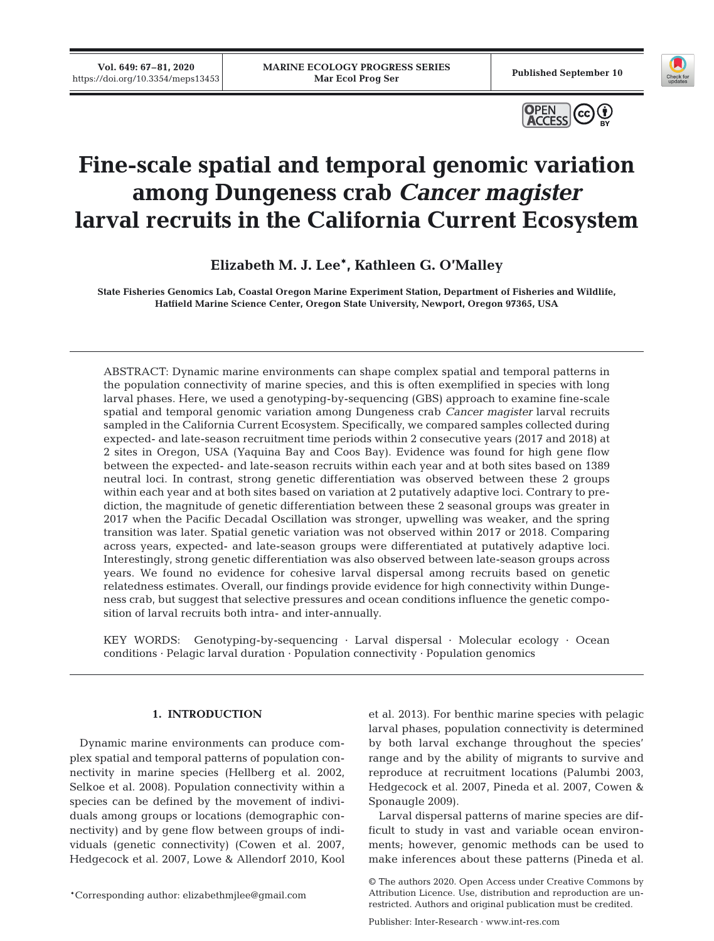**Vol. 649: 67–81, 2020**





# **Fine-scale spatial and temporal genomic variation among Dungeness crab** *Cancer magister* **larval recruits in the California Current Ecosystem**

**Elizabeth M. J. Lee\*, Kathleen G. O'Malley**

**State Fisheries Genomics Lab, Coastal Oregon Marine Experiment Station, Department of Fisheries and Wildlife, Hatfield Marine Science Center, Oregon State University, Newport, Oregon 97365, USA**

ABSTRACT: Dynamic marine environments can shape complex spatial and temporal patterns in the population connectivity of marine species, and this is often exemplified in species with long larval phases. Here, we used a genotyping-by-sequencing (GBS) approach to examine fine-scale spatial and temporal genomic variation among Dungeness crab *Cancer magister* larval recruits sampled in the California Current Ecosystem. Specifically, we compared samples collected during expected- and late-season recruitment time periods within 2 consecutive years (2017 and 2018) at 2 sites in Oregon, USA (Yaquina Bay and Coos Bay). Evidence was found for high gene flow between the expected- and late-season recruits within each year and at both sites based on 1389 neutral loci. In contrast, strong genetic differentiation was observed between these 2 groups within each year and at both sites based on variation at 2 putatively adaptive loci. Contrary to prediction, the magnitude of genetic differentiation between these 2 seasonal groups was greater in 2017 when the Pacific Decadal Oscillation was stronger, upwelling was weaker, and the spring transition was later. Spatial genetic variation was not observed within 2017 or 2018. Comparing across years, expected- and late-season groups were differentiated at putatively adaptive loci. Interestingly, strong genetic differentiation was also observed between late-season groups across years. We found no evidence for cohesive larval dispersal among recruits based on genetic related ness estimates. Overall, our findings provide evidence for high connectivity within Dungeness crab, but suggest that selective pressures and ocean conditions influence the genetic composition of larval recruits both intra- and inter-annually.

KEY WORDS: Genotyping-by-sequencing · Larval dispersal · Molecular ecology · Ocean conditions · Pelagic larval duration · Population connectivity · Population genomics

# **1. INTRODUCTION**

Dynamic marine environments can produce complex spatial and temporal patterns of population connectivity in marine species (Hellberg et al. 2002, Selkoe et al. 2008). Population connectivity within a species can be defined by the movement of individuals among groups or locations (demographic connectivity) and by gene flow between groups of individuals (genetic connectivity) (Cowen et al. 2007, Hedge cock et al. 2007, Lowe & Allendorf 2010, Kool et al. 2013). For benthic marine species with pelagic larval phases, population connectivity is determined by both larval exchange throughout the species' range and by the ability of migrants to survive and reproduce at recruitment locations (Palumbi 2003, Hedgecock et al. 2007, Pineda et al. 2007, Cowen & Sponaugle 2009).

Larval dispersal patterns of marine species are difficult to study in vast and variable ocean environments; however, genomic methods can be used to make inferences about these patterns (Pineda et al.

<sup>©</sup> The authors 2020. Open Access under Creative Commons by Attribution Licence. Use, distribution and reproduction are unrestricted. Authors and original publication must be credited.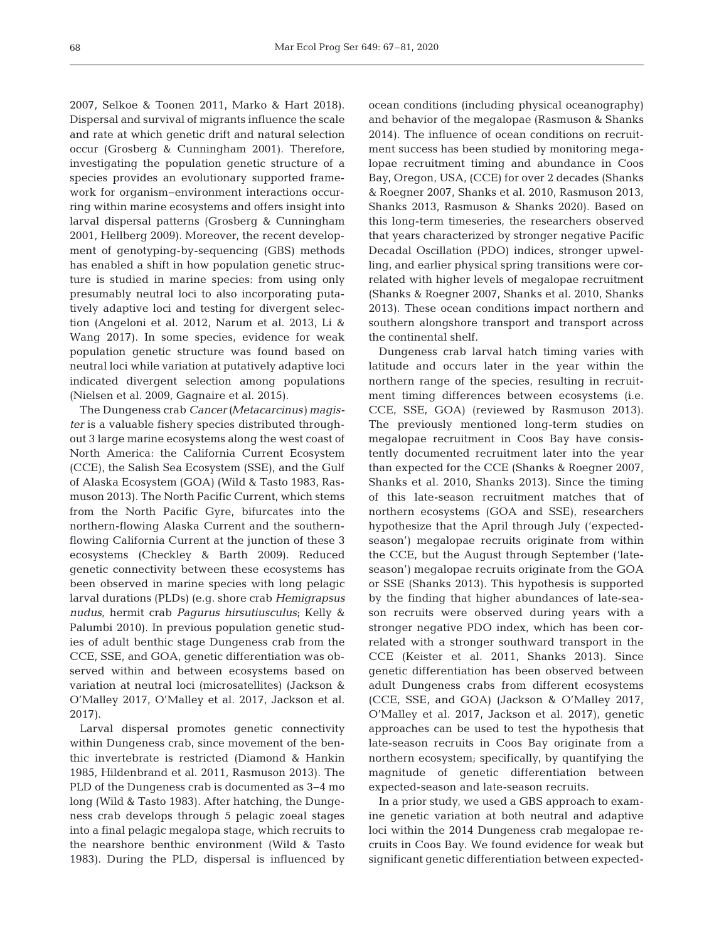2007, Selkoe & Toonen 2011, Marko & Hart 2018). Dispersal and survival of migrants influence the scale and rate at which genetic drift and natural selection occur (Grosberg & Cunningham 2001). Therefore, investigating the population genetic structure of a species provides an evolutionary supported framework for organism−environment interactions occurring within marine ecosystems and offers insight into larval dispersal patterns (Grosberg & Cunningham 2001, Hellberg 2009). Moreover, the recent development of genotyping-by-sequencing (GBS) methods has enabled a shift in how population genetic structure is studied in marine species: from using only presumably neutral loci to also incorporating putatively adaptive loci and testing for divergent selection (Angeloni et al. 2012, Narum et al. 2013, Li & Wang 2017). In some species, evidence for weak population genetic structure was found based on neutral loci while variation at putatively adaptive loci indicated divergent selection among populations (Nielsen et al. 2009, Gagnaire et al. 2015).

The Dungeness crab *Cancer (Metacarcinus) magister* is a valuable fishery species distributed throughout 3 large marine ecosystems along the west coast of North America: the California Current Ecosystem (CCE), the Salish Sea Ecosystem (SSE), and the Gulf of Alaska Ecosystem (GOA) (Wild & Tasto 1983, Rasmuson 2013). The North Pacific Current, which stems from the North Pacific Gyre, bifurcates into the northern-flowing Alaska Current and the southernflowing California Current at the junction of these 3 ecosystems (Checkley & Barth 2009). Reduced genetic connectivity between these ecosystems has been observed in marine species with long pelagic larval durations (PLDs) (e.g. shore crab *Hemigrapsus nu dus*, hermit crab *Pagurus hirsutiusculus*; Kelly & Palumbi 2010). In previous population genetic studies of adult benthic stage Dungeness crab from the CCE, SSE, and GOA, genetic differentiation was ob served within and between ecosystems based on variation at neutral loci (microsatellites) (Jackson & O'Malley 2017, O'Malley et al. 2017, Jackson et al. 2017).

Larval dispersal promotes genetic connectivity within Dungeness crab, since movement of the benthic invertebrate is restricted (Diamond & Hankin 1985, Hildenbrand et al. 2011, Rasmuson 2013). The PLD of the Dungeness crab is documented as 3−4 mo long (Wild & Tasto 1983). After hatching, the Dungeness crab develops through 5 pelagic zoeal stages into a final pelagic megalopa stage, which recruits to the nearshore benthic environment (Wild & Tasto 1983). During the PLD, dispersal is influenced by

ocean conditions (including physical oceanography) and behavior of the megalopae (Rasmuson & Shanks 2014). The influence of ocean conditions on recruitment success has been studied by monitoring megalopae recruitment timing and abundance in Coos Bay, Oregon, USA, (CCE) for over 2 decades (Shanks & Roegner 2007, Shanks et al. 2010, Rasmuson 2013, Shanks 2013, Rasmuson & Shanks 2020). Based on this long-term timeseries, the researchers observed that years characterized by stronger negative Pacific Decadal Oscillation (PDO) indices, stronger upwelling, and earlier physical spring transitions were correlated with higher levels of megalopae recruitment (Shanks & Roegner 2007, Shanks et al. 2010, Shanks 2013). These ocean conditions impact northern and southern alongshore transport and transport across the continental shelf.

Dungeness crab larval hatch timing varies with latitude and occurs later in the year within the northern range of the species, resulting in recruitment timing differences between ecosystems (i.e. CCE, SSE, GOA) (reviewed by Rasmuson 2013). The previously mentioned long-term studies on megalopae recruitment in Coos Bay have consistently documented recruitment later into the year than expected for the CCE (Shanks & Roegner 2007, Shanks et al. 2010, Shanks 2013). Since the timing of this late-season recruitment matches that of northern ecosystems (GOA and SSE), researchers hypothesize that the April through July ('expectedseason') megalopae recruits originate from within the CCE, but the August through September ('lateseason') megalopae recruits originate from the GOA or SSE (Shanks 2013). This hypothesis is supported by the finding that higher abundances of late-season recruits were observed during years with a stronger negative PDO index, which has been correlated with a stronger southward transport in the CCE (Keister et al. 2011, Shanks 2013). Since genetic differentiation has been observed between adult Dungeness crabs from different ecosystems (CCE, SSE, and GOA) (Jackson & O'Malley 2017, O'Malley et al. 2017, Jackson et al. 2017), genetic approaches can be used to test the hypothesis that late-season recruits in Coos Bay originate from a northern ecosystem; specifically, by quantifying the magnitude of genetic differentiation between expected-season and late-season recruits.

In a prior study, we used a GBS approach to examine genetic variation at both neutral and adaptive loci within the 2014 Dungeness crab megalopae recruits in Coos Bay. We found evidence for weak but significant genetic differentiation between expected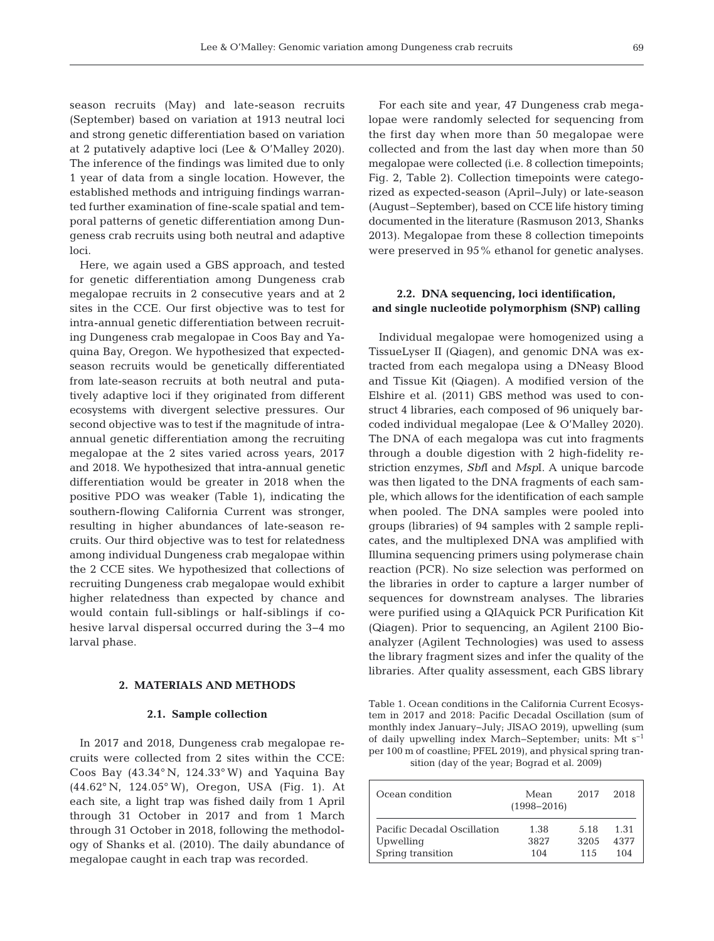season recruits (May) and late-season recruits (September) based on variation at 1913 neutral loci and strong genetic differentiation based on variation at 2 putatively adaptive loci (Lee & O'Malley 2020). The inference of the findings was limited due to only 1 year of data from a single location. However, the established methods and intriguing findings warran ted further examination of fine-scale spatial and temporal patterns of genetic differentiation among Dungeness crab recruits using both neutral and adaptive loci.

Here, we again used a GBS approach, and tested for genetic differentiation among Dungeness crab megalopae recruits in 2 consecutive years and at 2 sites in the CCE. Our first objective was to test for intra-annual genetic differentiation between recruiting Dungeness crab megalopae in Coos Bay and Ya quina Bay, Oregon. We hypothesized that expectedseason recruits would be genetically differentiated from late-season recruits at both neutral and putatively adaptive loci if they originated from different ecosystems with divergent selective pressures. Our second objective was to test if the magnitude of intraannual genetic differentiation among the recruiting megalopae at the 2 sites varied across years, 2017 and 2018. We hypothesized that intra-annual genetic differentiation would be greater in 2018 when the positive PDO was weaker (Table 1), indicating the southern-flowing California Current was stronger, resulting in higher abundances of late-season re cruits. Our third objective was to test for relatedness among individual Dungeness crab megalopae within the 2 CCE sites. We hypothesized that collections of recruiting Dungeness crab megalopae would exhibit higher relatedness than expected by chance and would contain full-siblings or half-siblings if cohesive larval dispersal occurred during the 3–4 mo larval phase.

## **2. MATERIALS AND METHODS**

#### **2.1. Sample collection**

In 2017 and 2018, Dungeness crab megalopae recruits were collected from 2 sites within the CCE: Coos Bay (43.34° N, 124.33° W) and Yaquina Bay (44.62° N, 124.05° W), Oregon, USA (Fig. 1). At each site, a light trap was fished daily from 1 April through 31 October in 2017 and from 1 March through 31 October in 2018, following the methodology of Shanks et al. (2010). The daily abundance of megalopae caught in each trap was recorded.

For each site and year, 47 Dungeness crab megalopae were randomly selected for sequencing from the first day when more than 50 megalopae were collected and from the last day when more than 50 megalopae were collected (i.e. 8 collection timepoints; Fig. 2, Table 2). Collection timepoints were categorized as expected-season (April−July) or late-season (August–September), based on CCE life history timing documented in the literature (Rasmuson 2013, Shanks 2013). Megalopae from these 8 collection timepoints were preserved in 95% ethanol for genetic analyses.

# **2.2. DNA sequencing, loci identification, and single nucleotide polymorphism (SNP) calling**

Individual megalopae were homogenized using a TissueLyser II (Qiagen), and genomic DNA was ex tracted from each megalopa using a DNeasy Blood and Tissue Kit (Qiagen). A modified version of the Elshire et al. (2011) GBS method was used to construct 4 libraries, each composed of 96 uniquely barcoded individual megalopae (Lee & O'Malley 2020). The DNA of each megalopa was cut into fragments through a double digestion with 2 high-fidelity re striction enzymes, *Sbf*I and *Msp*I. A unique barcode was then ligated to the DNA fragments of each sample, which allows for the identification of each sample when pooled. The DNA samples were pooled into groups (libraries) of 94 samples with 2 sample replicates, and the multiplexed DNA was amplified with Illumina sequencing primers using polymerase chain reaction (PCR). No size selection was performed on the libraries in order to capture a larger number of sequences for downstream analyses. The libraries were purified using a QIAquick PCR Purification Kit (Qiagen). Prior to sequencing, an Agilent 2100 Bioanalyzer (Agilent Technologies) was used to assess the library fragment sizes and infer the quality of the libraries. After quality assessment, each GBS library

Table 1. Ocean conditions in the California Current Ecosystem in 2017 and 2018: Pacific Decadal Oscillation (sum of monthly index January−July; JISAO 2019), upwelling (sum of daily upwelling index March−September; units: Mt s−1 per 100 m of coastline; PFEL 2019), and physical spring transition (day of the year; Bograd et al. 2009)

| Ocean condition             | Mean<br>$(1998 - 2016)$ | 2017 | 2018 |
|-----------------------------|-------------------------|------|------|
| Pacific Decadal Oscillation | 1.38                    | 5.18 | 1.31 |
| Upwelling                   | 3827                    | 3205 | 4377 |
| Spring transition           | 104                     | 115  | 104  |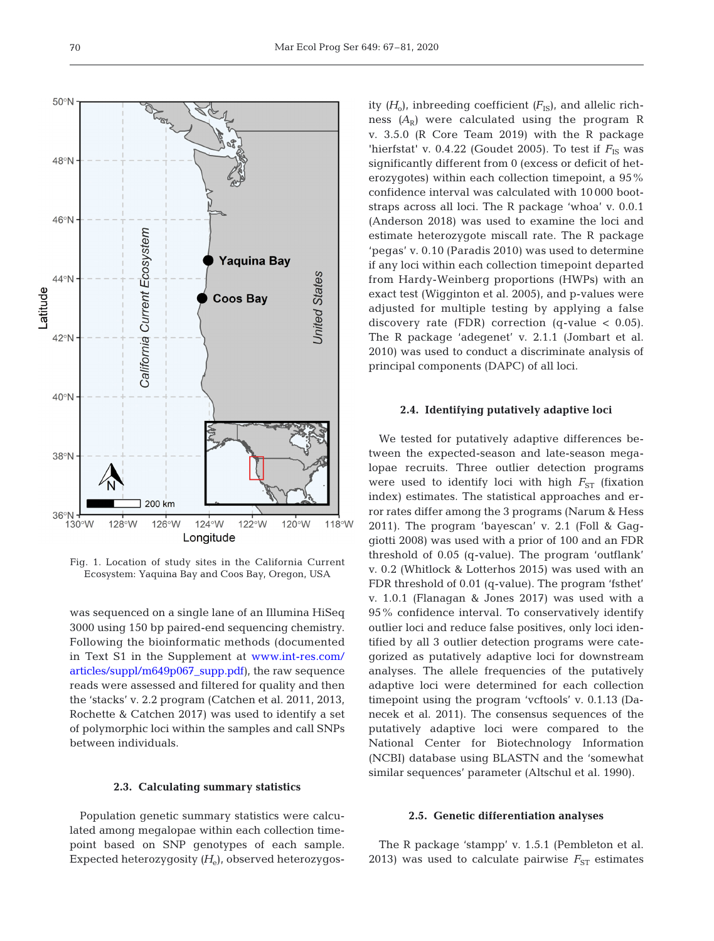$50^{\circ}$ N 48°N  $46°N$ California Current Ecosystem **Yaquina Bay** *<u>United</u>* States 44°N **Coos Bay** 42°N  $40°N$  $38°N$ 200 km  $36°N$  $126^{\circ}$ W  $124^{\circ}$ W  $122^{\circ}$ W 128°W 120°W 118°W  $130°W$ Longitude

Fig. 1. Location of study sites in the California Current Ecosystem: Yaquina Bay and Coos Bay, Oregon, USA

was sequenced on a single lane of an Illumina HiSeq 3000 using 150 bp paired-end sequencing chemistry. Following the bioinformatic methods (documented in Text S1 in the Supplement at [www. int-res. com/](https://www.int-res.com/articles/suppl/m649p067_supp.pdf) articles/suppl/m649p067\_supp.pdf), the raw sequence reads were assessed and filtered for quality and then the 'stacks' v. 2.2 program (Catchen et al. 2011, 2013, Rochette & Catchen 2017) was used to identify a set of polymorphic loci within the samples and call SNPs between individuals.

## **2.3. Calculating summary statistics**

Population genetic summary statistics were calculated among megalopae within each collection timepoint based on SNP genotypes of each sample. Expected heterozygosity  $(H_e)$ , observed heterozygosity  $(H_0)$ , inbreeding coefficient  $(F_{IS})$ , and allelic richness  $(A_R)$  were calculated using the program R v. 3.5.0 (R Core Team 2019) with the R package 'hierfstat' v. 0.4.22 (Goudet 2005). To test if  $F_{\text{IS}}$  was significantly different from 0 (excess or deficit of heterozygotes) within each collection timepoint, a 95% confidence interval was calculated with 10 000 bootstraps across all loci. The R package 'whoa' v. 0.0.1 (Anderson 2018) was used to examine the loci and estimate heterozygote miscall rate. The R package 'pegas' v. 0.10 (Paradis 2010) was used to determine if any loci within each collection timepoint departed from Hardy-Weinberg proportions (HWPs) with an exact test (Wigginton et al. 2005), and p-values were adjusted for multiple testing by applying a false discovery rate (FDR) correction (q-value  $< 0.05$ ). The R package 'adegenet' v. 2.1.1 (Jombart et al. 2010) was used to conduct a discriminate analysis of principal components (DAPC) of all loci.

#### **2.4. Identifying putatively adaptive loci**

We tested for putatively adaptive differences between the expected-season and late-season megalopae recruits. Three outlier detection programs were used to identify loci with high  $F_{ST}$  (fixation index) estimates. The statistical approaches and error rates differ among the 3 programs (Narum & Hess 2011). The program 'bayescan' v. 2.1 (Foll & Gaggiotti 2008) was used with a prior of 100 and an FDR threshold of 0.05 (q-value). The program 'outflank' v. 0.2 (Whitlock & Lotterhos 2015) was used with an FDR threshold of 0.01 (q-value). The program 'fsthet' v. 1.0.1 (Flanagan & Jones 2017) was used with a 95% confidence interval. To conservatively identify outlier loci and reduce false positives, only loci identified by all 3 outlier detection programs were categorized as putatively adaptive loci for downstream analyses. The allele frequencies of the putatively adaptive loci were determined for each collection timepoint using the program 'vcftools' v. 0.1.13 (Danecek et al. 2011). The consensus sequences of the putatively adaptive loci were compared to the National Center for Biotechnology Information (NCBI) database using BLASTN and the 'somewhat similar sequences' parameter (Altschul et al. 1990).

#### **2.5. Genetic differentiation analyses**

The R package 'stampp' v. 1.5.1 (Pembleton et al. 2013) was used to calculate pairwise  $F_{ST}$  estimates



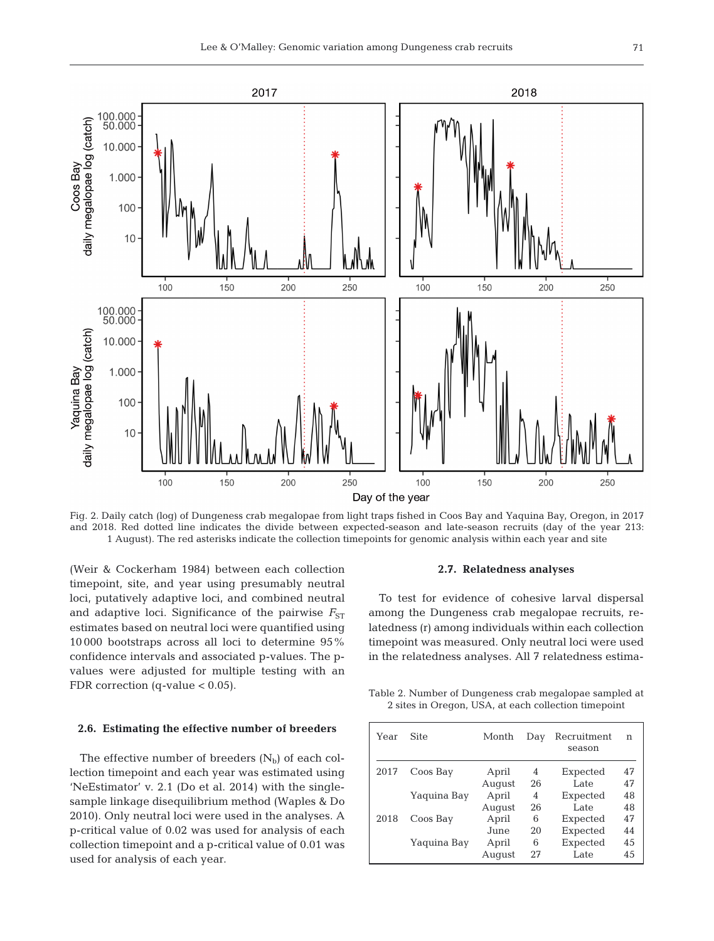

Fig. 2. Daily catch (log) of Dungeness crab megalopae from light traps fished in Coos Bay and Yaquina Bay, Oregon, in 2017 and 2018. Red dotted line indicates the divide between expected-season and late-season recruits (day of the year 213: 1 August). The red asterisks indicate the collection timepoints for genomic analysis within each year and site

(Weir & Cockerham 1984) between each collection timepoint, site, and year using presumably neutral loci, putatively adaptive loci, and combined neutral and adaptive loci. Significance of the pairwise  $F_{ST}$ estimates based on neutral loci were quantified using 10 000 bootstraps across all loci to determine 95% confidence intervals and associated p-values. The pvalues were adjusted for multiple testing with an FDR correction (q-value  $< 0.05$ ).

## **2.6. Estimating the effective number of breeders**

The effective number of breeders  $(N_b)$  of each collection timepoint and each year was estimated using 'NeEstimator' v. 2.1 (Do et al. 2014) with the singlesample linkage disequilibrium method (Waples & Do 2010). Only neutral loci were used in the analyses. A p-critical value of 0.02 was used for analysis of each collection timepoint and a p-critical value of 0.01 was used for analysis of each year.

#### **2.7. Relatedness analyses**

To test for evidence of cohesive larval dispersal among the Dungeness crab megalopae recruits, relatedness (r) among individuals within each collection timepoint was measured. Only neutral loci were used in the relatedness analyses. All 7 relatedness estima-

Table 2. Number of Dungeness crab megalopae sampled at 2 sites in Oregon, USA, at each collection timepoint

| Year | Site        | Month  | Dav | Recruitment<br>season | n  |
|------|-------------|--------|-----|-----------------------|----|
| 2017 | Coos Bay    | April  | 4   | Expected              | 47 |
|      |             | August | 26  | Late                  | 47 |
|      | Yaquina Bay | April  | 4   | Expected              | 48 |
|      |             | August | 26  | T.ate                 | 48 |
| 2018 | Coos Bay    | April  | 6   | Expected              | 47 |
|      |             | June   | 20  | Expected              | 44 |
|      | Yaquina Bay | April  | 6   | Expected              | 45 |
|      |             | August | 27  | Late                  | 45 |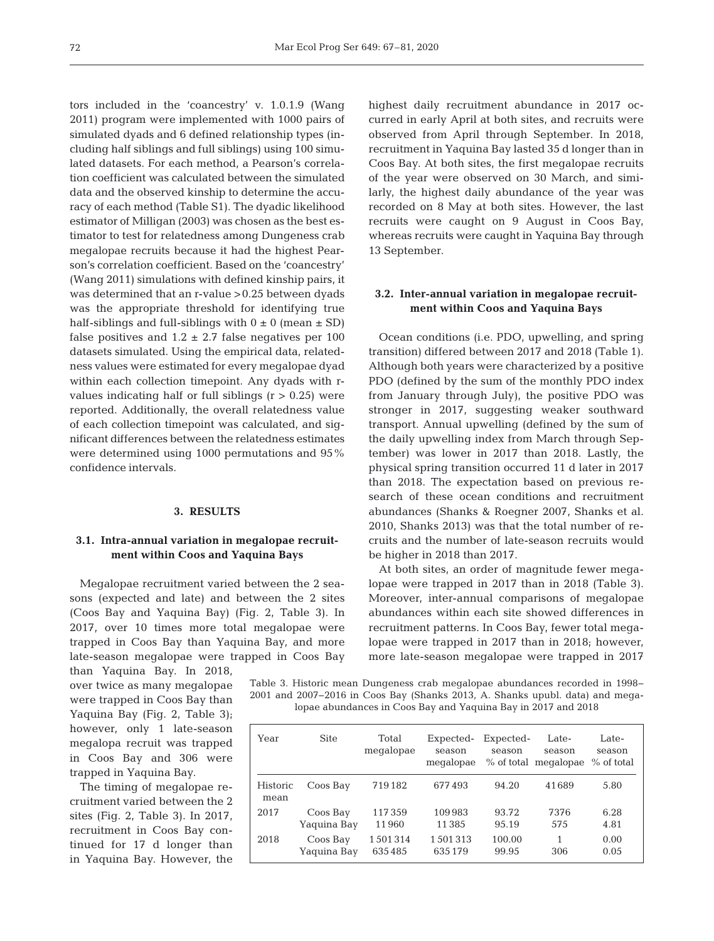tors included in the 'coancestry' v. 1.0.1.9 (Wang 2011) program were implemented with 1000 pairs of simulated dyads and 6 defined relationship types (including half siblings and full siblings) using 100 simulated datasets. For each method, a Pearson's correlation coefficient was calculated between the simulated data and the observed kinship to determine the accuracy of each method (Table S1). The dyadic likelihood estimator of Milligan (2003) was chosen as the best estimator to test for relatedness among Dungeness crab megalopae recruits because it had the highest Pearson's correlation coefficient. Based on the 'coancestry' (Wang 2011) simulations with defined kinship pairs, it was determined that an r-value >0.25 between dyads was the appropriate threshold for identifying true half-siblings and full-siblings with  $0 \pm 0$  (mean  $\pm$  SD) false positives and  $1.2 \pm 2.7$  false negatives per 100 datasets simulated. Using the empirical data, relatedness values were estimated for every megalopae dyad within each collection timepoint. Any dyads with rvalues indicating half or full siblings  $(r > 0.25)$  were reported. Additionally, the overall relatedness value of each collection timepoint was calculated, and significant differences between the relatedness estimates were determined using 1000 permutations and 95% confidence intervals.

## **3. RESULTS**

# **3.1. Intra-annual variation in megalopae recruitment within Coos and Yaquina Bays**

Megalopae recruitment varied between the 2 seasons (expected and late) and between the 2 sites (Coos Bay and Yaquina Bay) (Fig. 2, Table 3). In 2017, over 10 times more total megalopae were trapped in Coos Bay than Yaquina Bay, and more late-season megalopae were trapped in Coos Bay

than Yaquina Bay. In 2018, over twice as many megalopae were trapped in Coos Bay than Yaquina Bay (Fig. 2, Table 3); however, only 1 late-season megalopa recruit was trapped in Coos Bay and 306 were trapped in Yaquina Bay.

The timing of megalopae recruitment varied between the 2 sites (Fig. 2, Table 3). In 2017, recruitment in Coos Bay continued for 17 d longer than in Yaquina Bay. However, the highest daily recruitment abundance in 2017 occurred in early April at both sites, and recruits were observed from April through September. In 2018, recruitment in Yaquina Bay lasted 35 d longer than in Coos Bay. At both sites, the first megalopae recruits of the year were observed on 30 March, and similarly, the highest daily abundance of the year was recorded on 8 May at both sites. However, the last recruits were caught on 9 August in Coos Bay, whereas recruits were caught in Yaquina Bay through 13 September.

# **3.2. Inter-annual variation in megalopae recruitment within Coos and Yaquina Bays**

Ocean conditions (i.e. PDO, upwelling, and spring transition) differed between 2017 and 2018 (Table 1). Although both years were characterized by a positive PDO (defined by the sum of the monthly PDO index from January through July), the positive PDO was stronger in 2017, suggesting weaker southward transport. Annual upwelling (defined by the sum of the daily upwelling index from March through September) was lower in 2017 than 2018. Lastly, the physical spring transition occurred 11 d later in 2017 than 2018. The expectation based on previous re search of these ocean conditions and recruitment abundances (Shanks & Roegner 2007, Shanks et al. 2010, Shanks 2013) was that the total number of re cruits and the number of late-season recruits would be higher in 2018 than 2017.

At both sites, an order of magnitude fewer megalopae were trapped in 2017 than in 2018 (Table 3). Moreover, inter-annual comparisons of megalopae abundances within each site showed differences in recruitment patterns. In Coos Bay, fewer total megalopae were trapped in 2017 than in 2018; however, more late-season megalopae were trapped in 2017

Table 3. Historic mean Dungeness crab megalopae abundances recorded in 1998− 2001 and 2007−2016 in Coos Bay (Shanks 2013, A. Shanks upubl. data) and megalopae abundances in Coos Bay and Yaquina Bay in 2017 and 2018

| Year             | <b>Site</b> | Total<br>megalopae | Expected-<br>season<br>megalopae | Expected-<br>season | Late-<br>season<br>% of total megalopae | Late-<br>season<br>$%$ of total |
|------------------|-------------|--------------------|----------------------------------|---------------------|-----------------------------------------|---------------------------------|
| Historic<br>mean | Coos Bay    | 719182             | 677493                           | 94.20               | 41689                                   | 5.80                            |
| 2017             | Coos Bay    | 117359             | 109983                           | 93.72               | 7376                                    | 6.28                            |
|                  | Yaquina Bay | 11960              | 11385                            | 95.19               | 575                                     | 4.81                            |
| 2018             | Coos Bay    | 1 501 314          | 1 501 313                        | 100.00              | 1                                       | 0.00                            |
|                  | Yaquina Bay | 635485             | 635179                           | 99.95               | 306                                     | 0.05                            |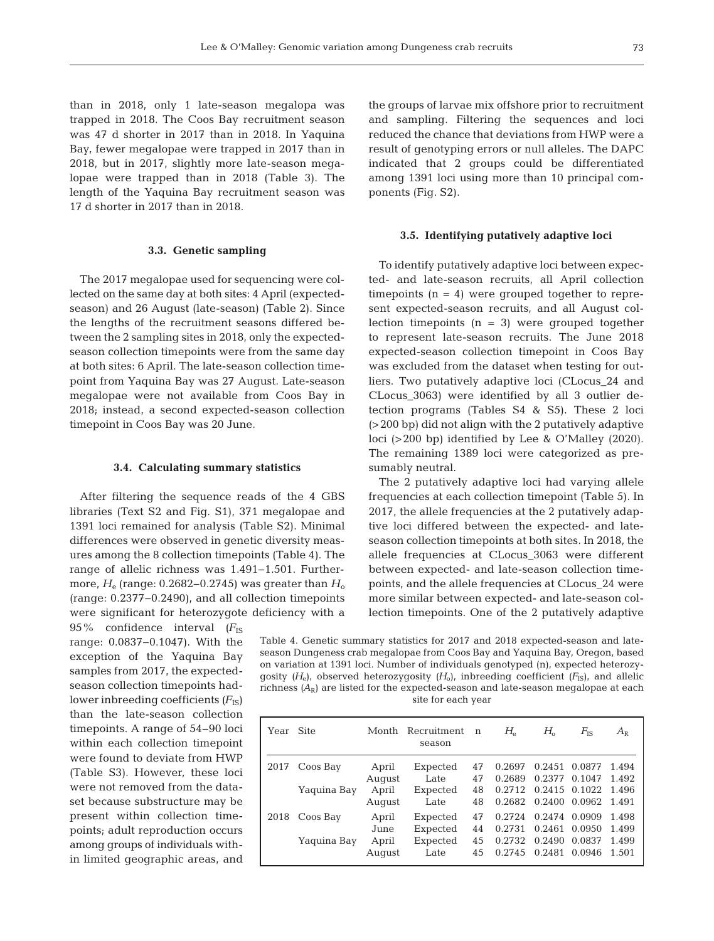than in 2018, only 1 late-season megalopa was trapped in 2018. The Coos Bay recruitment season was 47 d shorter in 2017 than in 2018. In Yaquina Bay, fewer megalopae were trapped in 2017 than in 2018, but in 2017, slightly more late-season megalopae were trapped than in 2018 (Table 3). The length of the Yaquina Bay recruitment season was 17 d shorter in 2017 than in 2018.

## **3.3. Genetic sampling**

The 2017 megalopae used for sequencing were collected on the same day at both sites: 4 April (expectedseason) and 26 August (late-season) (Table 2). Since the lengths of the recruitment seasons differed be tween the 2 sampling sites in 2018, only the expectedseason collection timepoints were from the same day at both sites: 6 April. The late-season collection timepoint from Yaquina Bay was 27 August. Late-season megalopae were not available from Coos Bay in 2018; instead, a second expected-season collection timepoint in Coos Bay was 20 June.

### **3.4. Calculating summary statistics**

After filtering the sequence reads of the 4 GBS libraries (Text S2 and Fig. S1), 371 megalopae and 1391 loci remained for analysis (Table S2). Minimal differences were observed in genetic diversity measures among the 8 collection timepoints (Table 4). The range of allelic richness was 1.491−1.501. Furthermore, *H*<sup>e</sup> (range: 0.2682−0.2745) was greater than *H*<sup>o</sup> (range: 0.2377−0.2490), and all collection timepoints were significant for heterozygote deficiency with a

95% confidence interval  $(F_{\text{IS}})$ range: 0.0837−0.1047). With the exception of the Yaquina Bay samples from 2017, the expectedseason collection timepoints hadlower inbreeding coefficients *(F<sub>IS</sub>)* than the late- season collection timepoints. A range of 54−90 loci within each collection timepoint were found to deviate from HWP (Table S3). However, these loci were not removed from the dataset because substructure may be present within collection timepoints; adult reproduction occurs among groups of individuals with in limited geographic areas, and

the groups of larvae mix offshore prior to recruitment and sampling. Filtering the sequences and loci reduced the chance that deviations from HWP were a result of genotyping errors or null alleles. The DAPC indicated that 2 groups could be differentiated among 1391 loci using more than 10 principal components (Fig. S2).

#### **3.5. Identifying putatively adaptive loci**

To identify putatively adaptive loci between expec ted- and late-season recruits, all April collection time points  $(n = 4)$  were grouped together to represent expected-season recruits, and all August collection timepoints  $(n = 3)$  were grouped together to represent late-season recruits. The June 2018 expected-season collection timepoint in Coos Bay was excluded from the dataset when testing for outliers. Two putatively adaptive loci (CLocus\_24 and CLocus\_3063) were identified by all 3 outlier de tection programs (Tables S4 & S5). These 2 loci (>200 bp) did not align with the 2 putatively adaptive loci (>200 bp) identified by Lee & O'Malley (2020). The remaining 1389 loci were categorized as presumably neutral.

The 2 putatively adaptive loci had varying allele frequencies at each collection timepoint (Table 5). In 2017, the allele frequencies at the 2 putatively adaptive loci differed between the expected- and lateseason collection timepoints at both sites. In 2018, the allele frequencies at CLocus\_3063 were different between expected- and late-season collection timepoints, and the allele frequencies at CLocus\_24 were more similar between expected- and late-season collection timepoints. One of the 2 putatively adaptive

Table 4. Genetic summary statistics for 2017 and 2018 expected-season and lateseason Dungeness crab megalopae from Coos Bay and Yaquina Bay, Oregon, based on variation at 1391 loci. Number of individuals genotyped (n), expected heterozygosity  $(H_e)$ , observed heterozygosity  $(H_o)$ , inbreeding coefficient  $(F_{IS})$ , and allelic richness (A<sub>R</sub>) are listed for the expected-season and late-season megalopae at each site for each year

| Year Site |             | Month           | Recruitment<br>season | $\mathsf{n}$ | $H_{\scriptscriptstyle{\Theta}}$ | $H_{\alpha}$     | $F_{\rm IS}$            | $A_{\rm R}$    |
|-----------|-------------|-----------------|-----------------------|--------------|----------------------------------|------------------|-------------------------|----------------|
| 2017      | Coos Bay    | April<br>August | Expected<br>Late      | 47<br>47     | 0.2697<br>0.2689                 | 0.2451<br>0.2377 | 0.0877<br>0.1047        | 1.494<br>1.492 |
|           | Yaquina Bay | April<br>August | Expected<br>Late      | 48<br>48     | 0.2712<br>0.2682                 | 0.2400           | 0.2415 0.1022<br>0.0962 | 1.496<br>1.491 |
| 2018      | Coos Bay    | April<br>June   | Expected<br>Expected  | 47<br>44     | 0.2724<br>0.2731                 | 0.2474<br>0.2461 | 0.0909<br>0.0950        | 1.498<br>1.499 |
|           | Yaquina Bay | April<br>August | Expected<br>Late      | 45<br>45     | 0.2732<br>0.2745                 | 0.2490<br>0.2481 | 0.0837<br>0.0946        | 1.499<br>1.501 |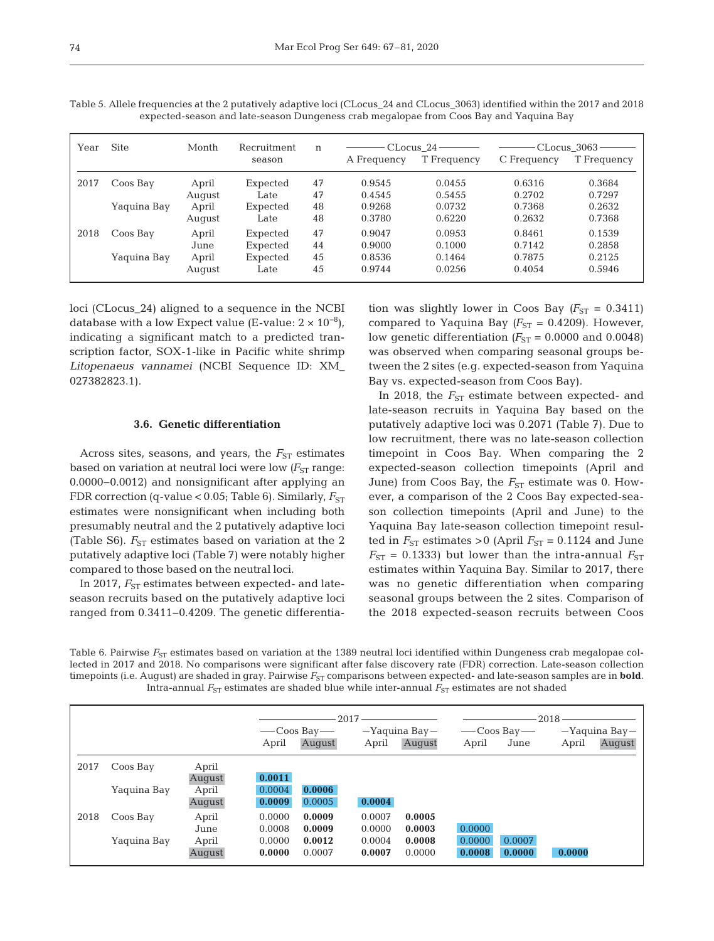| Year | <b>Site</b> |        | Month    |    | Recruitment | n           | CLocus 24-  |             | CLocus $3063 -$ |  |  |
|------|-------------|--------|----------|----|-------------|-------------|-------------|-------------|-----------------|--|--|
|      |             |        | season   |    | A Frequency | T Frequency | C Frequency | T Frequency |                 |  |  |
| 2017 | Coos Bay    | April  | Expected | 47 | 0.9545      | 0.0455      | 0.6316      | 0.3684      |                 |  |  |
|      |             | August | Late     | 47 | 0.4545      | 0.5455      | 0.2702      | 0.7297      |                 |  |  |
|      | Yaquina Bay | April  | Expected | 48 | 0.9268      | 0.0732      | 0.7368      | 0.2632      |                 |  |  |
|      |             | August | Late     | 48 | 0.3780      | 0.6220      | 0.2632      | 0.7368      |                 |  |  |
| 2018 | Coos Bay    | April  | Expected | 47 | 0.9047      | 0.0953      | 0.8461      | 0.1539      |                 |  |  |
|      |             | June   | Expected | 44 | 0.9000      | 0.1000      | 0.7142      | 0.2858      |                 |  |  |
|      | Yaquina Bay | April  | Expected | 45 | 0.8536      | 0.1464      | 0.7875      | 0.2125      |                 |  |  |
|      |             | August | Late     | 45 | 0.9744      | 0.0256      | 0.4054      | 0.5946      |                 |  |  |

Table 5. Allele frequencies at the 2 putatively adaptive loci (CLocus\_24 and CLocus\_3063) identified within the 2017 and 2018 expected-season and late-season Dungeness crab megalopae from Coos Bay and Yaquina Bay

loci (CLocus\_24) aligned to a sequence in the NCBI database with a low Expect value (E-value:  $2 \times 10^{-8}$ ), indicating a significant match to a predicted transcription factor, SOX-1-like in Pacific white shrimp *Litopenaeus vannamei* (NCBI Sequence ID: XM\_ 027382823.1).

### **3.6. Genetic differentiation**

Across sites, seasons, and years, the  $F_{ST}$  estimates based on variation at neutral loci were low  $(F_{ST}$  range: 0.0000−0.0012) and nonsignificant after applying an FDR correction (q-value < 0.05; Table 6). Similarly,  $F_{ST}$ estimates were nonsignificant when including both presumably neutral and the 2 putatively adaptive loci (Table S6).  $F_{ST}$  estimates based on variation at the 2 putatively adaptive loci (Table 7) were notably higher compared to those based on the neutral loci.

In 2017,  $F_{ST}$  estimates between expected- and lateseason recruits based on the putatively adaptive loci ranged from 0.3411−0.4209. The genetic differentiation was slightly lower in Coos Bay  $(F_{ST} = 0.3411)$ compared to Yaquina Bay  $(F_{ST} = 0.4209)$ . However, low genetic differentiation  $(F_{ST} = 0.0000$  and 0.0048) was observed when comparing seasonal groups be tween the 2 sites (e.g. expected-season from Yaquina Bay vs. expected-season from Coos Bay).

In 2018, the  $F_{ST}$  estimate between expected- and late-season recruits in Yaquina Bay based on the putatively adaptive loci was 0.2071 (Table 7). Due to low recruitment, there was no late-season collection timepoint in Coos Bay. When comparing the 2 expected-season collection timepoints (April and June) from Coos Bay, the  $F_{ST}$  estimate was 0. However, a comparison of the 2 Coos Bay expected-season collection timepoints (April and June) to the Yaquina Bay late-season collection timepoint resulted in  $F_{ST}$  estimates >0 (April  $F_{ST}$  = 0.1124 and June  $F_{ST}$  = 0.1333) but lower than the intra-annual  $F_{ST}$ estimates within Yaquina Bay. Similar to 2017, there was no genetic differentiation when comparing seasonal groups between the 2 sites. Comparison of the 2018 expected-season recruits between Coos

Table 6. Pairwise  $F_{ST}$  estimates based on variation at the 1389 neutral loci identified within Dungeness crab megalopae collected in 2017 and 2018. No comparisons were significant after false discovery rate (FDR) correction. Late-season collection timepoints (i.e. August) are shaded in gray. Pairwise  $F_{ST}$  comparisons between expected- and late-season samples are in **bold**. Intra-annual  $F_{ST}$  estimates are shaded blue while inter-annual  $F_{ST}$  estimates are not shaded

|      |             |        |        | 2017        |        |                     |        |               | 2018   |                     |
|------|-------------|--------|--------|-------------|--------|---------------------|--------|---------------|--------|---------------------|
|      |             |        |        | — Coos Bay— |        | $-Y$ aquina Bay $-$ |        | — $\cos$ Bay— |        | $-Y$ aquina Bay $-$ |
|      |             |        | April  | August      | April  | August              | April  | June          | April  | August              |
| 2017 | Coos Bay    | April  |        |             |        |                     |        |               |        |                     |
|      |             | August | 0.0011 |             |        |                     |        |               |        |                     |
|      | Yaquina Bay | April  | 0.0004 | 0.0006      |        |                     |        |               |        |                     |
|      |             | August | 0.0009 | 0.0005      | 0.0004 |                     |        |               |        |                     |
| 2018 | Coos Bay    | April  | 0.0000 | 0.0009      | 0.0007 | 0.0005              |        |               |        |                     |
|      |             | June   | 0.0008 | 0.0009      | 0.0000 | 0.0003              | 0.0000 |               |        |                     |
|      | Yaquina Bay | April  | 0.0000 | 0.0012      | 0.0004 | 0.0008              | 0.0000 | 0.0007        |        |                     |
|      |             | August | 0.0000 | 0.0007      | 0.0007 | 0.0000              | 0.0008 | 0.0000        | 0.0000 |                     |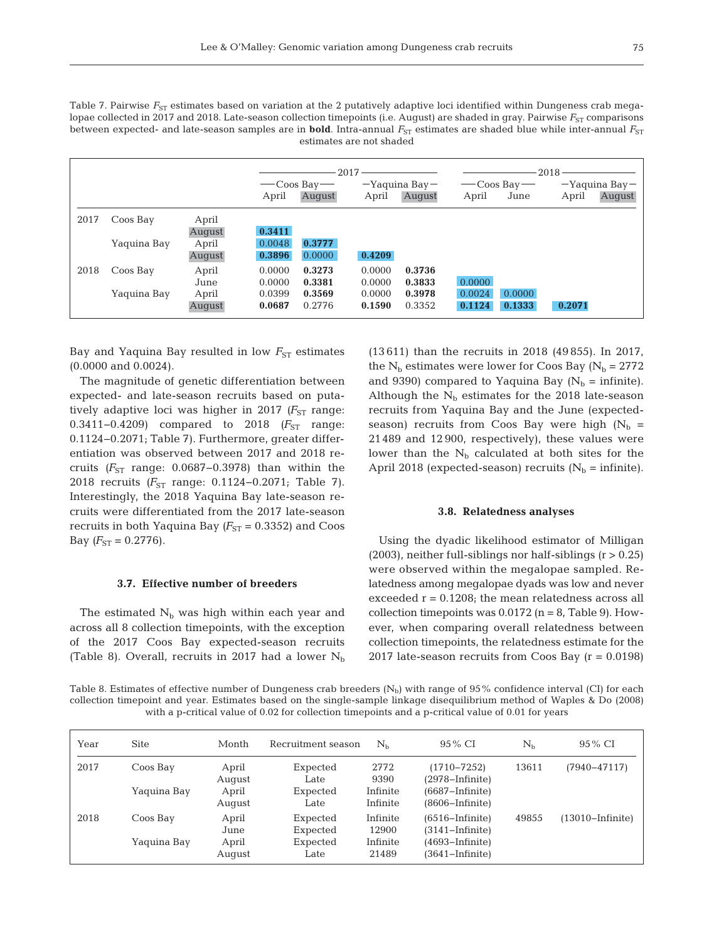Table 7. Pairwise *F<sub>ST</sub>* estimates based on variation at the 2 putatively adaptive loci identified within Dungeness crab megalopae collected in 2017 and 2018. Late-season collection timepoints (i.e. August) are shaded in gray. Pairwise  $F_{ST}$  comparisons between expected- and late-season samples are in **bold**. Intra-annual *F*<sub>ST</sub> estimates are shaded blue while inter-annual *F*<sub>ST</sub> estimates are not shaded

|      |             |        |        | $-2017$ ———————— |        |                     |             |        | $-2018 \longrightarrow$ |        |
|------|-------------|--------|--------|------------------|--------|---------------------|-------------|--------|-------------------------|--------|
|      |             |        |        | — Coos Bay—      |        | $-Y$ aquina Bay $-$ | — Coos Bay— |        | $-Y$ aquina Bay $-$     |        |
|      |             |        | April  | August           | April  | August              | April       | June   | April                   | August |
| 2017 | Coos Bay    | April  |        |                  |        |                     |             |        |                         |        |
|      |             | August | 0.3411 |                  |        |                     |             |        |                         |        |
|      | Yaquina Bay | April  | 0.0048 | 0.3777           |        |                     |             |        |                         |        |
|      |             | August | 0.3896 | 0.0000           | 0.4209 |                     |             |        |                         |        |
| 2018 | Coos Bay    | April  | 0.0000 | 0.3273           | 0.0000 | 0.3736              |             |        |                         |        |
|      |             | June   | 0.0000 | 0.3381           | 0.0000 | 0.3833              | 0.0000      |        |                         |        |
|      | Yaquina Bay | April  | 0.0399 | 0.3569           | 0.0000 | 0.3978              | 0.0024      | 0.0000 |                         |        |
|      |             | August | 0.0687 | 0.2776           | 0.1590 | 0.3352              | 0.1124      | 0.1333 | 0.2071                  |        |

Bay and Yaquina Bay resulted in low  $F_{ST}$  estimates (0.0000 and 0.0024).

The magnitude of genetic differentiation between expected- and late-season recruits based on putatively adaptive loci was higher in 2017  $(F_{ST}$  range: 0.3411−0.4209) compared to 2018 (F<sub>ST</sub> range: 0.1124−0.2071; Table 7). Furthermore, greater differentiation was observed between 2017 and 2018 recruits  $(F_{ST}$  range: 0.0687-0.3978) than within the 2018 recruits (F<sub>ST</sub> range: 0.1124-0.2071; Table 7). Interestingly, the 2018 Yaquina Bay late-season re cruits were differentiated from the 2017 late-season recruits in both Yaquina Bay  $(F_{ST} = 0.3352)$  and Coos Bay  $(F_{ST} = 0.2776)$ .

## **3.7. Effective number of breeders**

The estimated  $N_b$  was high within each year and across all 8 collection timepoints, with the exception of the 2017 Coos Bay expected-season recruits (Table 8). Overall, recruits in 2017 had a lower  $N_b$  (13 611) than the recruits in 2018 (49 855). In 2017, the  $N_b$  estimates were lower for Coos Bay ( $N_b = 2772$ ) and 9390) compared to Yaquina Bay ( $N_b$  = infinite). Although the  $N_b$  estimates for the 2018 late-season recruits from Yaquina Bay and the June (expectedseason) recruits from Coos Bay were high  $(N_b =$ 21489 and 12 900, respectively), these values were lower than the  $N_b$  calculated at both sites for the April 2018 (expected-season) recruits ( $N_b$  = infinite).

#### **3.8. Relatedness analyses**

Using the dyadic likelihood estimator of Milligan  $(2003)$ , neither full-siblings nor half-siblings  $(r > 0.25)$ were observed within the megalopae sampled. Relatedness among megalopae dyads was low and never exceeded  $r = 0.1208$ ; the mean relatedness across all collection timepoints was  $0.0172$  (n = 8, Table 9). However, when comparing overall relatedness between collection timepoints, the relatedness estimate for the 2017 late-season recruits from Coos Bay  $(r = 0.0198)$ 

Table 8. Estimates of effective number of Dungeness crab breeders  $(N_b)$  with range of 95% confidence interval (CI) for each collection timepoint and year. Estimates based on the single-sample linkage disequilibrium method of Waples & Do (2008) with a p-critical value of 0.02 for collection timepoints and a p-critical value of 0.01 for years

| Year | <b>Site</b> | Month           | Recruitment season   | $\rm N_h$            | 95 % CI                                    | $N_{\rm b}$ | $95\%$ CI        |
|------|-------------|-----------------|----------------------|----------------------|--------------------------------------------|-------------|------------------|
| 2017 | Coos Bay    | April<br>August | Expected<br>Late     | 2772<br>9390         | $(1710 - 7252)$<br>$(2978 - Infinite)$     | 13611       | $(7940 - 47117)$ |
|      | Yaquina Bay | April<br>August | Expected<br>Late     | Infinite<br>Infinite | (6687–Infinite)<br>(8606–Infinite)         |             |                  |
| 2018 | Coos Bay    | April<br>June   | Expected<br>Expected | Infinite<br>12900    | $(6516 - Intinite)$<br>$(3141 - Infinite)$ | 49855       | (13010–Infinite) |
|      | Yaquina Bay | April<br>August | Expected<br>Late     | Infinite<br>21489    | $(4693 - Infinite)$<br>(3641–Infinite)     |             |                  |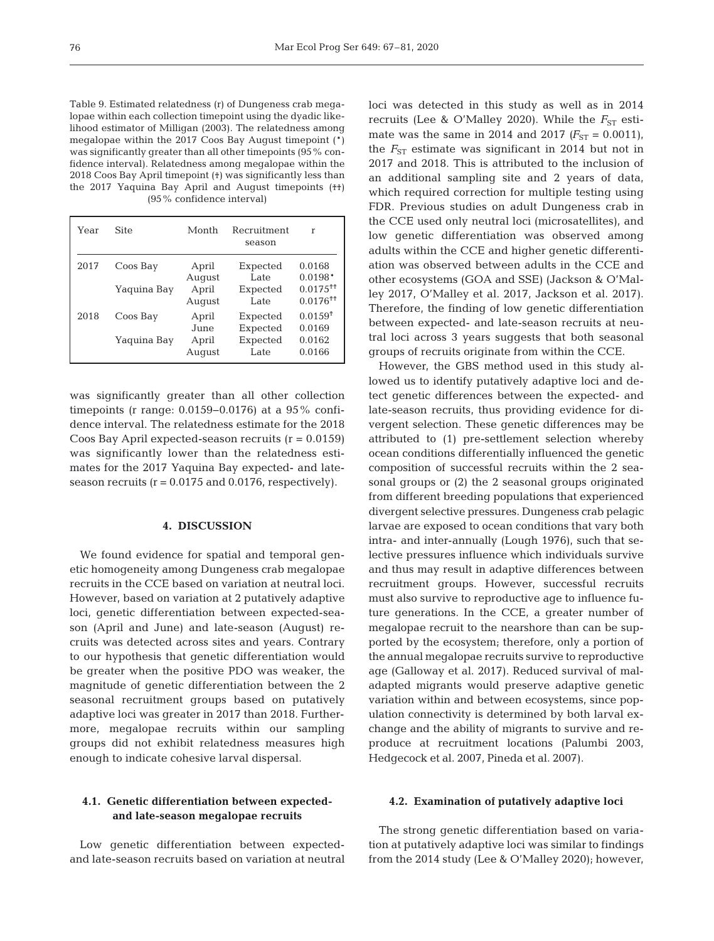| Table 9. Estimated relatedness (r) of Dungeness crab mega-    |  |  |  |  |  |  |  |  |  |
|---------------------------------------------------------------|--|--|--|--|--|--|--|--|--|
| lopae within each collection timepoint using the dyadic like- |  |  |  |  |  |  |  |  |  |
| lihood estimator of Milligan (2003). The relatedness among    |  |  |  |  |  |  |  |  |  |
| megalopae within the 2017 Coos Bay August timepoint (*)       |  |  |  |  |  |  |  |  |  |
| was significantly greater than all other timepoints (95% con- |  |  |  |  |  |  |  |  |  |
| fidence interval). Relatedness among megalopae within the     |  |  |  |  |  |  |  |  |  |
| 2018 Coos Bay April timepoint (†) was significantly less than |  |  |  |  |  |  |  |  |  |
| the 2017 Yaquina Bay April and August timepoints (##)         |  |  |  |  |  |  |  |  |  |
| $(95\%$ confidence interval)                                  |  |  |  |  |  |  |  |  |  |
|                                                               |  |  |  |  |  |  |  |  |  |

| Year | Site        | Month           | Recruitment<br>season | r                                                |
|------|-------------|-----------------|-----------------------|--------------------------------------------------|
| 2017 | Coos Bay    | April<br>August | Expected<br>Late      | 0.0168<br>$0.0198*$                              |
|      | Yaquina Bay | April<br>August | Expected<br>Late      | $0.0175$ <sup>††</sup><br>$0.0176$ <sup>††</sup> |
| 2018 | Coos Bay    | April<br>June   | Expected<br>Expected  | $0.0159$ <sup>†</sup><br>0.0169                  |
|      | Yaquina Bay | April<br>August | Expected<br>Late      | 0.0162<br>0.0166                                 |

was significantly greater than all other collection timepoints (r range: 0.0159−0.0176) at a 95% confidence interval. The relatedness estimate for the 2018 Coos Bay April expected-season recruits  $(r = 0.0159)$ was significantly lower than the relatedness estimates for the 2017 Yaquina Bay expected- and lateseason recruits  $(r = 0.0175$  and 0.0176, respectively).

## **4. DISCUSSION**

We found evidence for spatial and temporal genetic homogeneity among Dungeness crab megalopae recruits in the CCE based on variation at neutral loci. However, based on variation at 2 putatively adaptive loci, genetic differentiation between expected-season (April and June) and late-season (August) re cruits was detected across sites and years. Contrary to our hypothesis that genetic differentiation would be greater when the positive PDO was weaker, the magnitude of genetic differentiation between the 2 seasonal recruitment groups based on putatively adaptive loci was greater in 2017 than 2018. Furthermore, megalopae recruits within our sampling groups did not exhibit relatedness measures high enough to indicate cohesive larval dispersal.

# **4.1. Genetic differentiation between expectedand late-season megalopae recruits**

Low genetic differentiation between expectedand late-season recruits based on variation at neutral

loci was detected in this study as well as in 2014 recruits (Lee & O'Malley 2020). While the  $F_{ST}$  estimate was the same in 2014 and 2017  $(F_{ST} = 0.0011)$ , the  $F_{ST}$  estimate was significant in 2014 but not in 2017 and 2018. This is attributed to the inclusion of an additional sampling site and 2 years of data, which required correction for multiple testing using FDR. Previous studies on adult Dungeness crab in the CCE used only neutral loci (microsatellites), and low genetic differentiation was observed among adults within the CCE and higher genetic differentiation was observed between adults in the CCE and other ecosystems (GOA and SSE) (Jackson & O'Malley 2017, O'Malley et al. 2017, Jackson et al. 2017). Therefore, the finding of low genetic differentiation between expected- and late-season recruits at neutral loci across 3 years suggests that both seasonal groups of recruits originate from within the CCE.

However, the GBS method used in this study allowed us to identify putatively adaptive loci and detect genetic differences between the expected- and late-season recruits, thus providing evidence for divergent selection. These genetic differences may be attributed to (1) pre-settlement selection whereby ocean conditions differentially influenced the genetic composition of successful recruits within the 2 seasonal groups or (2) the 2 seasonal groups originated from different breeding populations that experienced divergent selective pressures. Dungeness crab pelagic larvae are exposed to ocean conditions that vary both intra- and inter-annually (Lough 1976), such that selective pressures influence which individuals survive and thus may result in adaptive differences between recruitment groups. However, successful recruits must also survive to reproductive age to influence future generations. In the CCE, a greater number of megalopae recruit to the nearshore than can be supported by the ecosystem; therefore, only a portion of the annual megalopae recruits survive to reproductive age (Galloway et al. 2017). Reduced survival of maladapted migrants would preserve adaptive genetic variation within and between ecosystems, since population connectivity is determined by both larval exchange and the ability of migrants to survive and reproduce at recruitment locations (Palumbi 2003, Hedgecock et al. 2007, Pineda et al. 2007).

#### **4.2. Examination of putatively adaptive loci**

The strong genetic differentiation based on variation at putatively adaptive loci was similar to findings from the 2014 study (Lee & O'Malley 2020); however,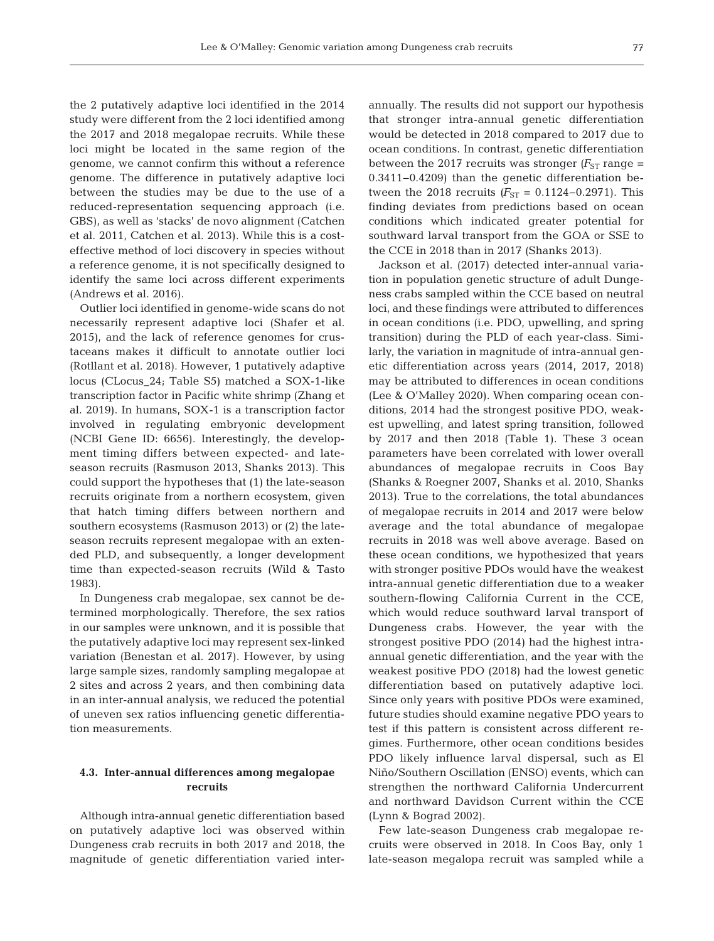the 2 putatively adaptive loci identified in the 2014 study were different from the 2 loci identified among the 2017 and 2018 megalopae recruits. While these loci might be located in the same region of the genome, we cannot confirm this without a reference genome. The difference in putatively adaptive loci between the studies may be due to the use of a reduced-representation sequencing approach (i.e. GBS), as well as 'stacks' de novo alignment (Catchen et al. 2011, Catchen et al. 2013). While this is a costeffective method of loci discovery in species without a reference genome, it is not specifically designed to identify the same loci across different experiments (Andrews et al. 2016).

Outlier loci identified in genome-wide scans do not necessarily represent adaptive loci (Shafer et al. 2015), and the lack of reference genomes for crustaceans makes it difficult to annotate outlier loci (Rotllant et al. 2018). However, 1 putatively adaptive locus (CLocus\_24; Table S5) matched a SOX-1-like transcription factor in Pacific white shrimp (Zhang et al. 2019). In humans, SOX-1 is a transcription factor involved in regulating embryonic development (NCBI Gene ID: 6656). Interestingly, the development timing differs between expected- and lateseason recruits (Rasmuson 2013, Shanks 2013). This could support the hypotheses that (1) the late-season recruits originate from a northern ecosystem, given that hatch timing differs between northern and southern ecosystems (Rasmuson 2013) or (2) the lateseason recruits represent megalopae with an extended PLD, and subsequently, a longer development time than expected-season recruits (Wild & Tasto 1983).

In Dungeness crab megalopae, sex cannot be determined morphologically. Therefore, the sex ratios in our samples were unknown, and it is possible that the putatively adaptive loci may represent sex-linked variation (Benestan et al. 2017). However, by using large sample sizes, randomly sampling megalopae at 2 sites and across 2 years, and then combining data in an inter-annual analysis, we reduced the potential of uneven sex ratios influencing genetic differentiation measurements.

# **4.3. Inter-annual differences among megalopae recruits**

Although intra-annual genetic differentiation based on putatively adaptive loci was observed within Dungeness crab recruits in both 2017 and 2018, the magnitude of genetic differentiation varied interannually. The results did not support our hypothesis that stronger intra-annual genetic differentiation would be detected in 2018 compared to 2017 due to ocean conditions. In contrast, genetic differentiation between the 2017 recruits was stronger  $(F_{ST}$  range = 0.3411−0.4209) than the genetic differentiation be tween the 2018 recruits  $(F_{ST} = 0.1124 - 0.2971)$ . This finding deviates from predictions based on ocean conditions which indicated greater potential for southward larval transport from the GOA or SSE to the CCE in 2018 than in 2017 (Shanks 2013).

Jackson et al. (2017) detected inter-annual variation in population genetic structure of adult Dungeness crabs sampled within the CCE based on neutral loci, and these findings were attributed to differences in ocean conditions (i.e. PDO, upwelling, and spring transition) during the PLD of each year-class. Similarly, the variation in magnitude of intra-annual genetic differentiation across years (2014, 2017, 2018) may be attributed to differences in ocean conditions (Lee & O'Malley 2020). When comparing ocean conditions, 2014 had the strongest positive PDO, weakest upwelling, and latest spring transition, followed by 2017 and then 2018 (Table 1). These 3 ocean parameters have been correlated with lower overall abundances of megalopae recruits in Coos Bay (Shanks & Roegner 2007, Shanks et al. 2010, Shanks 2013). True to the correlations, the total abundances of megalopae recruits in 2014 and 2017 were below average and the total abundance of megalopae recruits in 2018 was well above average. Based on these ocean conditions, we hypothesized that years with stronger positive PDOs would have the weakest intra-annual genetic differentiation due to a weaker southern-flowing California Current in the CCE, which would reduce southward larval transport of Dungeness crabs. However, the year with the strongest positive PDO (2014) had the highest intraannual genetic differentiation, and the year with the weakest positive PDO (2018) had the lowest genetic differentiation based on putatively adaptive loci. Since only years with positive PDOs were examined, future studies should examine negative PDO years to test if this pattern is consistent across different re gimes. Furthermore, other ocean conditions besides PDO likely influence larval dispersal, such as El Niño/Southern Oscillation (ENSO) events, which can strengthen the northward California Undercurrent and northward Davidson Current within the CCE (Lynn & Bograd 2002).

Few late-season Dungeness crab megalopae recruits were observed in 2018. In Coos Bay, only 1 late-season megalopa recruit was sampled while a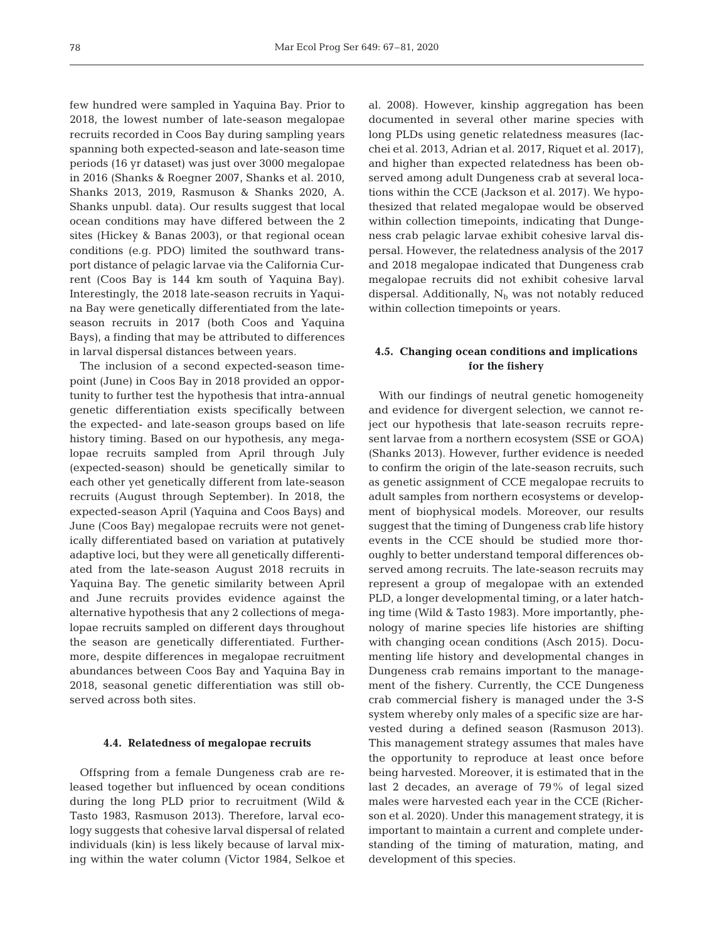few hundred were sampled in Yaquina Bay. Prior to 2018, the lowest number of late-season megalopae recruits recorded in Coos Bay during sampling years spanning both expected-season and late-season time periods (16 yr dataset) was just over 3000 megalopae in 2016 (Shanks & Roegner 2007, Shanks et al. 2010, Shanks 2013, 2019, Rasmuson & Shanks 2020, A. Shanks unpubl. data). Our results suggest that local ocean conditions may have differed between the 2 sites (Hickey & Banas 2003), or that regional ocean conditions (e.g. PDO) limited the southward transport distance of pelagic larvae via the California Current (Coos Bay is 144 km south of Yaquina Bay). Interestingly, the 2018 late-season recruits in Yaquina Bay were genetically differentiated from the lateseason recruits in 2017 (both Coos and Yaquina Bays), a finding that may be attributed to differences in larval dispersal distances between years.

The inclusion of a second expected-season timepoint (June) in Coos Bay in 2018 provided an opportunity to further test the hypothesis that intra-annual genetic differentiation exists specifically between the expected- and late-season groups based on life history timing. Based on our hypothesis, any megalopae recruits sampled from April through July (expected-season) should be genetically similar to each other yet genetically different from late-season recruits (August through September). In 2018, the expected-season April (Yaquina and Coos Bays) and June (Coos Bay) megalopae recruits were not genetically differentiated based on variation at putatively adaptive loci, but they were all genetically differentiated from the late-season August 2018 recruits in Yaquina Bay. The genetic similarity between April and June recruits provides evidence against the alternative hypothesis that any 2 collections of megalopae recruits sampled on different days throughout the season are genetically differentiated. Furthermore, despite differences in megalopae recruitment abundances between Coos Bay and Yaquina Bay in 2018, seasonal genetic differentiation was still ob served across both sites.

## **4.4. Relatedness of megalopae recruits**

Offspring from a female Dungeness crab are re leased together but influenced by ocean conditions during the long PLD prior to recruitment (Wild & Tasto 1983, Rasmuson 2013). Therefore, larval ecology suggests that cohesive larval dispersal of related individuals (kin) is less likely because of larval mixing within the water column (Victor 1984, Selkoe et al. 2008). However, kinship aggregation has been documented in several other marine species with long PLDs using genetic relatedness measures (Iacchei et al. 2013, Adrian et al. 2017, Riquet et al. 2017), and higher than expected relatedness has been observed among adult Dungeness crab at several locations within the CCE (Jackson et al. 2017). We hypothesized that related megalopae would be observed within collection timepoints, indicating that Dungeness crab pelagic larvae exhibit cohesive larval dispersal. However, the relatedness analysis of the 2017 and 2018 megalopae indicated that Dungeness crab megalopae recruits did not exhibit cohesive larval dispersal. Additionally,  $N_b$  was not notably reduced within collection timepoints or years.

# **4.5. Changing ocean conditions and implications for the fishery**

With our findings of neutral genetic homogeneity and evidence for divergent selection, we cannot reject our hypothesis that late-season recruits represent larvae from a northern ecosystem (SSE or GOA) (Shanks 2013). However, further evidence is needed to confirm the origin of the late-season recruits, such as genetic assignment of CCE megalopae recruits to adult samples from northern ecosystems or development of biophysical models. Moreover, our results suggest that the timing of Dungeness crab life history events in the CCE should be studied more thoroughly to better understand temporal differences ob served among recruits. The late-season recruits may represent a group of megalopae with an extended PLD, a longer developmental timing, or a later hatching time (Wild & Tasto 1983). More importantly, phenology of marine species life histories are shifting with changing ocean conditions (Asch 2015). Documenting life history and developmental changes in Dungeness crab remains important to the management of the fishery. Currently, the CCE Dungeness crab commercial fishery is managed under the 3-S system whereby only males of a specific size are harvested during a defined season (Rasmuson 2013). This management strategy assumes that males have the opportunity to reproduce at least once before being harvested. Moreover, it is estimated that in the last 2 decades, an average of 79% of legal sized males were harvested each year in the CCE (Richerson et al. 2020). Under this management strategy, it is important to maintain a current and complete understanding of the timing of maturation, mating, and development of this species.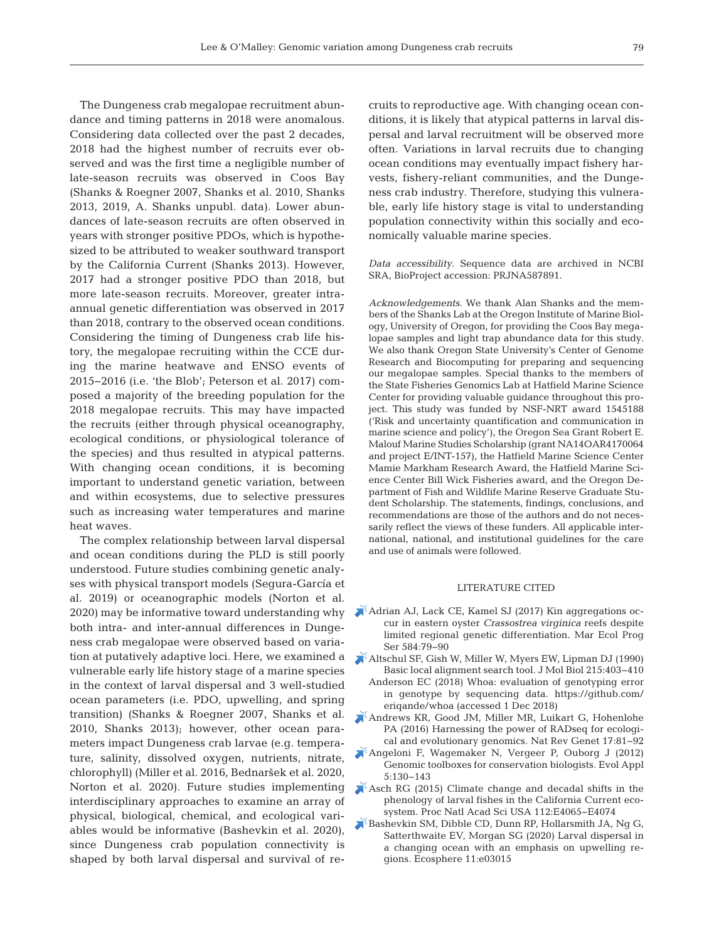The Dungeness crab megalopae recruitment abundance and timing patterns in 2018 were anomalous. Considering data collected over the past 2 decades, 2018 had the highest number of recruits ever observed and was the first time a negligible number of late-season recruits was observed in Coos Bay (Shanks & Roegner 2007, Shanks et al. 2010, Shanks 2013, 2019, A. Shanks unpubl. data). Lower abundances of late-season recruits are often observed in years with stronger positive PDOs, which is hypothesized to be attributed to weaker southward transport by the California Current (Shanks 2013). However, 2017 had a stronger positive PDO than 2018, but more late-season recruits. Moreover, greater intraannual genetic differentiation was observed in 2017 than 2018, contrary to the observed ocean conditions. Considering the timing of Dungeness crab life history, the megalopae recruiting within the CCE during the marine heatwave and ENSO events of 2015−2016 (i.e. 'the Blob'; Peterson et al. 2017) composed a majority of the breeding population for the 2018 megalopae recruits. This may have impacted the recruits (either through physical oceanography, ecological conditions, or physiological tolerance of the species) and thus resulted in atypical patterns. With changing ocean conditions, it is becoming important to understand genetic variation, between and within ecosystems, due to selective pressures such as increasing water temperatures and marine heat waves.

The complex relationship between larval dispersal and ocean conditions during the PLD is still poorly understood. Future studies combining genetic analyses with physical transport models (Segura-García et al. 2019) or oceanographic models (Norton et al. 2020) may be informative toward understanding why both intra- and inter-annual differences in Dungeness crab megalopae were observed based on variation at putatively adaptive loci. Here, we examined a vulnerable early life history stage of a marine species in the context of larval dispersal and 3 well-studied ocean parameters (i.e. PDO, upwelling, and spring transition) (Shanks & Roegner 2007, Shanks et al. 2010, Shanks 2013); however, other ocean parameters impact Dungeness crab larvae (e.g. temperature, salinity, dissolved oxygen, nutrients, nitrate, chlorophyll) (Miller et al. 2016, Bednaršek et al. 2020, Norton et al. 2020). Future studies implementing interdisciplinary approaches to examine an array of physical, biological, chemical, and ecological variables would be informative (Bashevkin et al. 2020), since Dungeness crab population connectivity is shaped by both larval dispersal and survival of recruits to reproductive age. With changing ocean conditions, it is likely that atypical patterns in larval dispersal and larval recruitment will be observed more often. Variations in larval recruits due to changing ocean conditions may eventually impact fishery harvests, fishery-reliant communities, and the Dungeness crab industry. Therefore, studying this vulnerable, early life history stage is vital to understanding population connectivity within this socially and economically valuable marine species.

*Data accessibility*. Sequence data are archived in NCBI SRA, BioProject accession: PRJNA587891.

*Acknowledgements*. We thank Alan Shanks and the members of the Shanks Lab at the Oregon Institute of Marine Biology, University of Oregon, for providing the Coos Bay megalopae samples and light trap abundance data for this study. We also thank Oregon State University's Center of Genome Research and Biocomputing for preparing and sequencing our megalopae samples. Special thanks to the members of the State Fisheries Genomics Lab at Hatfield Marine Science Center for providing valuable guidance throughout this project. This study was funded by NSF-NRT award 1545188 ('Risk and uncertainty quantification and communication in marine science and policy'), the Oregon Sea Grant Robert E. Malouf Marine Studies Scholarship (grant NA14OAR4170064 and project E/INT-157), the Hatfield Marine Science Center Mamie Markham Research Award, the Hatfield Marine Science Center Bill Wick Fisheries award, and the Oregon Department of Fish and Wildlife Marine Reserve Graduate Student Scholarship. The statements, findings, conclusions, and recommendations are those of the authors and do not necessarily reflect the views of these funders. All applicable international, national, and institutional guidelines for the care and use of animals were followed.

#### LITERATURE CITED

- [Adrian AJ, Lack CE, Kamel SJ \(2017\) Kin aggregations oc](https://doi.org/10.3354/meps12361)  cur in eastern oyster *Crassostrea virginica* reefs despite limited regional genetic differentiation. Mar Ecol Prog Ser 584:79-90
- [Altschul SF, Gish W, Miller W, Myers EW, Lipman DJ \(1990\)](https://doi.org/10.1016/S0022-2836(05)80360-2) Basic local alignment search tool. J Mol Biol 215: 403−410
	- Anderson EC (2018) Whoa: evaluation of genotyping error in genotype by sequencing data. https://github.com/ eriqande/whoa (accessed 1 Dec 2018)
- [Andrews KR, Good JM, Miller MR, Luikart G, Hohenlohe](https://doi.org/10.1038/nrg.2015.28) PA (2016) Harnessing the power of RADseq for ecological and evolutionary genomics. Nat Rev Genet 17:81-92
- [Angeloni F, Wagemaker N, Vergeer P, Ouborg J \(2012\)](https://doi.org/10.1111/j.1752-4571.2011.00217.x) Genomic toolboxes for conservation biologists. Evol Appl 5: 130−143
- [Asch RG \(2015\) Climate change and decadal shifts in the](https://doi.org/10.1073/pnas.1421946112) phenology of larval fishes in the California Current ecosystem. Proc Natl Acad Sci USA 112: E4065−E4074
- [Bashevkin SM, Dibble CD, Dunn RP, Hollarsmith JA, Ng G,](https://doi.org/10.1002/ecs2.3015) Satterthwaite EV, Morgan SG (2020) Larval dispersal in a changing ocean with an emphasis on upwelling regions. Ecosphere 11:e03015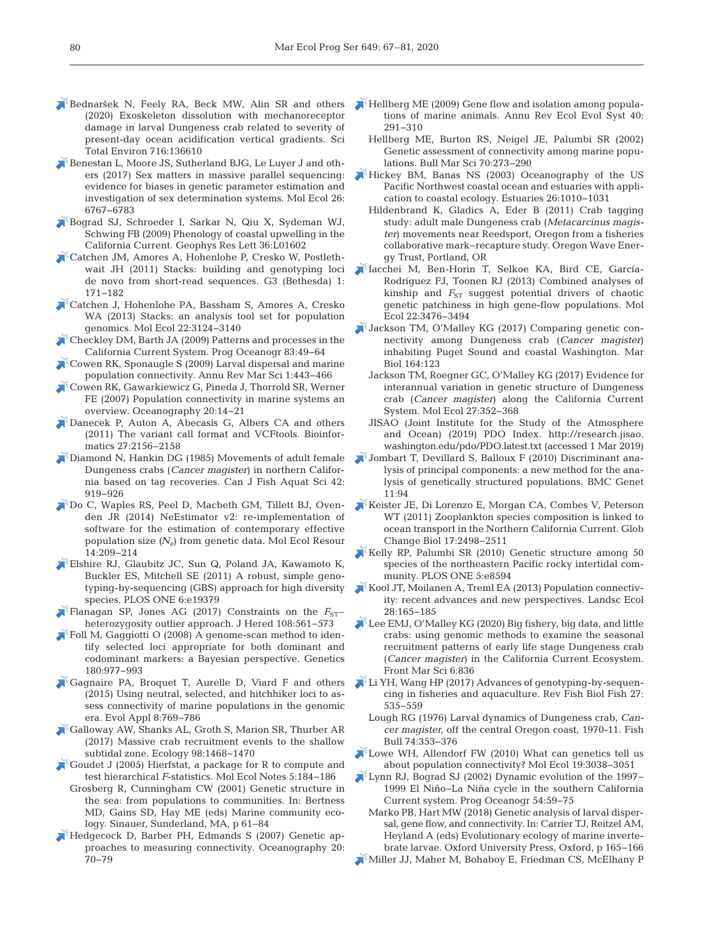- [Bednaršek N, Feely RA, Beck MW, Alin SR and others](https://doi.org/10.1016/j.scitotenv.2020.136610) (2020) Exoskeleton dissolution with mechanoreceptor damage in larval Dungeness crab related to severity of present-day ocean acidification vertical gradients. Sci Total Environ 716: 136610
- [Benestan L, Moore JS, Sutherland BJG, Le Luyer J and oth](https://doi.org/10.1111/mec.14217)ers (2017) Sex matters in massive parallel sequencing: evidence for biases in genetic parameter estimation and investigation of sex determination systems. Mol Ecol 26: 6767−6783
- [Bograd SJ, Schroeder I, Sarkar N, Qiu X, Sydeman WJ,](https://doi.org/10.1029/2008GL035933) Schwing FB (2009) Phenology of coastal upwelling in the California Current. Geophys Res Lett 36: L01602
- [Catchen JM, Amores A, Hohenlohe P, Cresko W, Postleth](https://doi.org/10.1534/g3.111.000240)wait JH (2011) Stacks: building and genotyping loci de novo from short-read sequences. G3 (Bethesda) 1: 171−182
- [Catchen J, Hohenlohe PA, Bassham S, Amores A, Cresko](https://doi.org/10.1111/mec.12354) WA (2013) Stacks: an analysis tool set for population genomics. Mol Ecol 22: 3124−3140
- [Checkley DM, Barth JA \(2009\) Patterns and processes in the](https://doi.org/10.1016/j.pocean.2009.07.028) California Current System. Prog Oceanogr 83:49-64
- [Cowen RK, Sponaugle S \(2009\) Larval dispersal and marine](https://doi.org/10.1146/annurev.marine.010908.163757) population connectivity. Annu Rev Mar Sci 1: 443−466
- [Cowen RK, Gawarkiewicz G, Pineda J, Thorrold SR, Werner](https://doi.org/10.5670/oceanog.2007.26) FE (2007) Population connectivity in marine systems an overview. Oceanography 20: 14−21
- [Danecek P, Auton A, Abecasis G, Albers CA and others](https://doi.org/10.1093/bioinformatics/btr330) (2011) The variant call format and VCFtools. Bioinformatics 27:2156-2158
- [Diamond N, Hankin DG \(1985\) Movements of adult female](https://doi.org/10.1139/f85-116) Dungeness crabs (*Cancer magister*) in northern California based on tag recoveries. Can J Fish Aquat Sci 42: 919−926
- [Do C, Waples RS, Peel D, Macbeth GM, Tillett BJ, Oven](https://doi.org/10.1111/1755-0998.12157)den JR (2014) NeEstimator v2: re-implementation of software for the estimation of contemporary effective population size *(Ne*) from genetic data. Mol Ecol Resour 14: 209−214
- [Elshire RJ, Glaubitz JC, Sun Q, Poland JA, Kawamoto K,](https://doi.org/10.1371/journal.pone.0019379) Buckler ES, Mitchell SE (2011) A robust, simple genotyping-by-sequencing (GBS) approach for high diversity species. PLOS ONE 6:e19379
- [Flanagan SP, Jones AG \(2017\) Constraints on the](https://doi.org/10.1093/jhered/esx048)  $F_{ST}$ heterozygosity outlier approach. J Hered 108:561–573
- $\blacktriangleright$  [Foll M, Gaggiotti O \(2008\) A genome-scan method to iden](https://doi.org/10.1534/genetics.108.092221)tify selected loci appropriate for both dominant and codominant markers: a Bayesian perspective. Genetics 180: 977−993
- [Gagnaire PA, Broquet T, Aurelle D, Viard F and others](https://doi.org/10.1111/eva.12288) (2015) Using neutral, selected, and hitchhiker loci to as sess connectivity of marine populations in the genomic era. Evol Appl 8: 769−786
- [Galloway AW, Shanks AL, Groth S, Marion SR, Thurber AR](https://doi.org/10.1002/ecy.1740) (2017) Massive crab recruitment events to the shallow subtidal zone. Ecology 98: 1468−1470
- [Goudet J \(2005\) Hierfstat, a package for R to compute and](https://doi.org/10.1111/j.1471-8286.2004.00828.x) test hierarchical *F*-statistics. Mol Ecol Notes 5: 184−186
- Grosberg R, Cunningham CW (2001) Genetic structure in the sea: from populations to communities. In: Bertness MD, Gains SD, Hay ME (eds) Marine community ecology. Sinauer, Sunderland, MA, p 61−84
- [Hedgecock D, Barber PH, Edmands S \(2007\) Genetic ap](https://doi.org/10.5670/oceanog.2007.30)  proaches to measuring connectivity. Oceanography 20: 70−79
- $\blacktriangleright$  [Hellberg ME \(2009\) Gene flow and isolation among popula](https://doi.org/10.1146/annurev.ecolsys.110308.120223)tions of marine animals. Annu Rev Ecol Evol Syst 40: 291−310
	- Hellberg ME, Burton RS, Neigel JE, Palumbi SR (2002) Genetic assessment of connectivity among marine populations. Bull Mar Sci 70: 273−290
- [Hickey BM, Banas NS \(2003\) Oceanography of the US](https://doi.org/10.1007/BF02803360) Pacific Northwest coastal ocean and estuaries with application to coastal ecology. Estuaries 26: 1010−1031
	- Hildenbrand K, Gladics A, Eder B (2011) Crab tagging study: adult male Dungeness crab (Metacarcinus magis*ter*) movements near Reedsport, Oregon from a fisheries collaborative mark−recapture study. Oregon Wave Ener gy Trust, Portland, OR
- [Iacchei M, Ben-Horin T, Selkoe KA, Bird CE, García-](https://doi.org/10.1111/mec.12341)Rodríguez FJ, Toonen RJ (2013) Combined analyses of kinship and  $F_{ST}$  suggest potential drivers of chaotic genetic patchiness in high gene-flow populations. Mol Ecol 22: 3476−3494
- [Jackson TM, O'Malley KG \(2017\) Comparing genetic con](https://doi.org/10.1007/s00227-017-3152-7)nectivity among Dungeness crab (*Cancer magister*) inhabiting Puget Sound and coastal Washington. Mar Biol 164: 123
	- Jackson TM, Roegner GC, O'Malley KG (2017) Evidence for interannual variation in genetic structure of Dungeness crab (*Cancer magister*) along the California Current System. Mol Ecol 27: 352−368
	- JISAO (Joint Institute for the Study of the Atmosphere and Ocean) (2019) PDO Index. http://research.jisao. washington.edu/pdo/PDO.latest.txt (accessed 1 Mar 2019)
- [Jombart T, Devillard S, Balloux F \(2010\) Discriminant ana](https://doi.org/10.1186/1471-2156-11-94)  lysis of principal components: a new method for the analysis of genetically structured populations. BMC Genet 11:94
- [Keister JE, Di Lorenzo E, Morgan CA, Combes V, Peterson](https://doi.org/10.1111/j.1365-2486.2010.02383.x) WT (2011) Zooplankton species composition is linked to ocean transport in the Northern California Current. Glob Change Biol 17:2498-2511
- [Kelly RP, Palumbi SR \(2010\) Genetic structure among 50](https://doi.org/10.1371/journal.pone.0008594) species of the northeastern Pacific rocky intertidal community. PLOS ONE 5:e8594
- [Kool JT, Moilanen A, Treml EA \(2013\) Population connectiv](https://doi.org/10.1007/s10980-012-9819-z)ity: recent advances and new perspectives. Landsc Ecol 28: 165−185
- [Lee EMJ, O'Malley KG \(2020\) Big fishery, big data, and little](https://doi.org/10.3389/fmars.2019.00836) crabs:using genomic methods to examine the seasonal recruitment patterns of early life stage Dungeness crab (*Cancer magister*) in the California Current Ecosystem. Front Mar Sci 6:836
- [Li YH, Wang HP \(2017\) Advances of genotyping-by-sequen](https://doi.org/10.1007/s11160-017-9473-2)cing in fisheries and aquaculture. Rev Fish Biol Fish 27: 535−559
	- Lough RG (1976) Larval dynamics of Dungeness crab, *Cancer magister,* off the central Oregon coast, 1970-11. Fish Bull 74: 353−376
- [Lowe WH, Allendorf FW \(2010\) What can genetics tell us](https://doi.org/10.1111/j.1365-294X.2010.04688.x) about population connectivity? Mol Ecol 19: 3038−3051
- [Lynn RJ, Bograd SJ \(2002\) Dynamic evolution of the 1997−](https://doi.org/10.1016/S0079-6611(02)00043-5) 1999 El Niño−La Niña cycle in the southern California Current system. Prog Oceanogr 54:59-75
	- Marko PB, Hart MW (2018) Genetic analysis of larval dispersal, gene flow, and connectivity. In:Carrier TJ, Reitzel AM, Heyland A (eds) Evolutionary ecology of marine invertebrate larvae. Oxford University Press, Oxford, p 165−166
- [Miller JJ, Maher M, Bohaboy E, Friedman CS, McElhany P](https://doi.org/10.1007/s00227-016-2883-1)